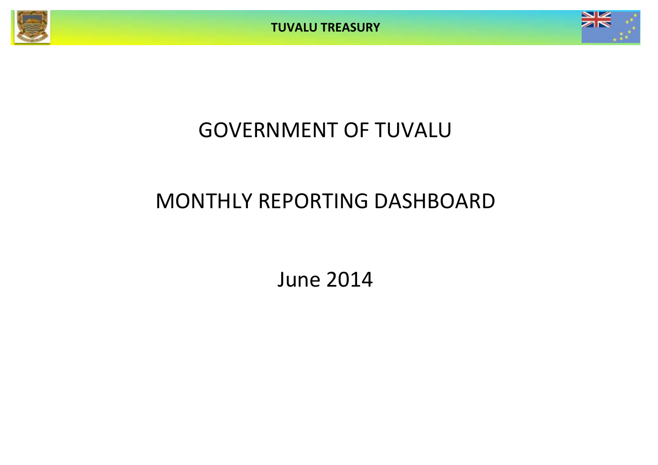



## GOVERNMENT OF TUVALU

# MONTHLY REPORTING DASHBOARD

June 2014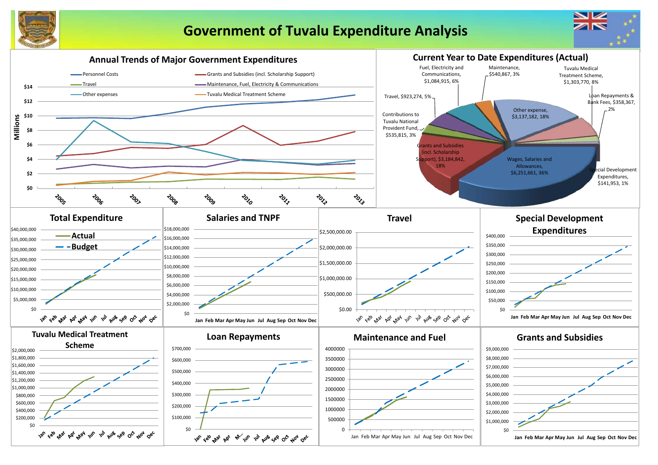

## **Government of Tuvalu Expenditure Analysis**

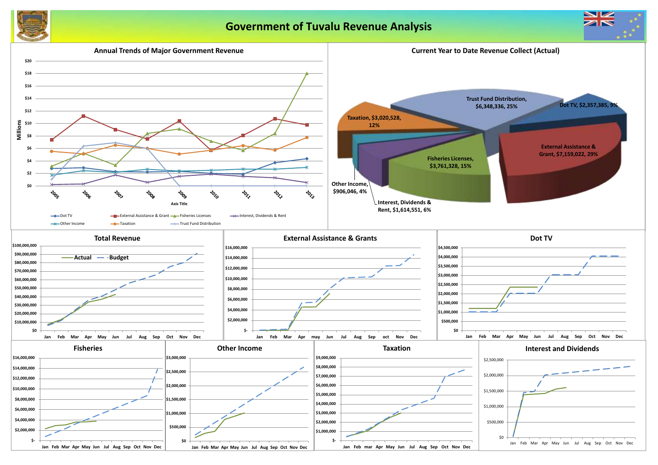

## **Government of Tuvalu Revenue Analysis**



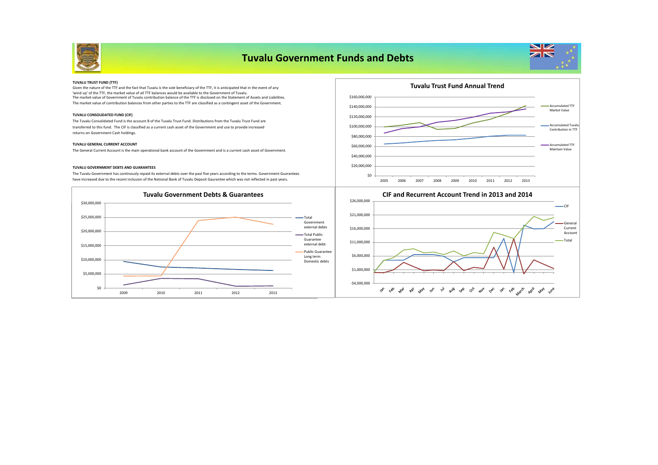

### **Tuvalu Government Funds and Debts**



#### **TUVALU TRUST FUND (TTF)**

The market value of Government of Tuvalu contribution balance of the TTF is disclosed on the Statement of Assets and Liabilities. The market value of contribution balances from other parties to the TTF are classified as a contingent asset of the Government. Given the nature of the TTF and the fact that Tuvalu is the sole beneficiary of the TTF, it is anticipated that in the event of any 'wind up' of the TTF, the market value of all TTF balances would be available to the Government of Tuvalu.

#### **TUVALU CONSOLIDATED FUND (CIF)**

The Tuvalu Consolidated Fund is the account B of the Tuvalu Trust Fund. Distributions from the Tuvalu Trust Fund are transferred to this fund. The CIF is classified as a current cash asset of the Government and use to provide increased returns on Government Cash holdings.

#### **TUVALU GENERAL CURRENT ACCOUNT**

The General Current Account is the main operational bank account of the Government and is a current cash asset of Government.

#### **TUVALU GOVERNMENT DEBTS AND GUARANTEES**

The Tuvalu Government has continously repaid its external debts over the past five years according to the terms. Government Guarantees have increased due to the recent inclusion of the National Bank of Tuvalu Deposit Gaurantee which was not reflected in past years.







#### **CIF and Recurrent Account Trend in 2013 and 2014**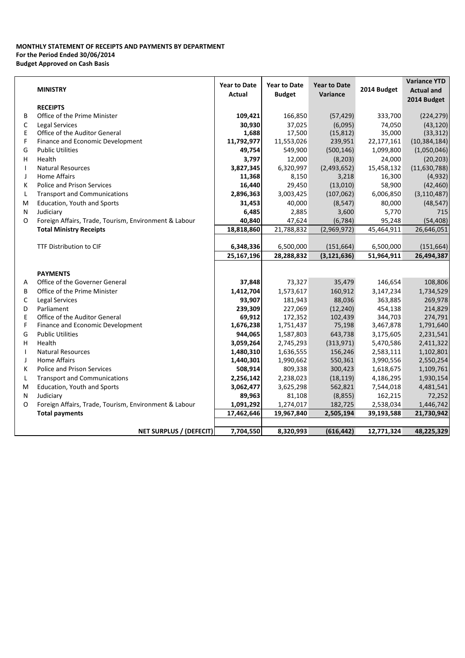### **MONTHLY STATEMENT OF RECEIPTS AND PAYMENTS BY DEPARTMENT For the Period Ended 30/06/2014 Budget Approved on Cash Basis**

|              |                                                       | <b>Year to Date</b> | <b>Year to Date</b> | <b>Year to Date</b> |             | <b>Variance YTD</b> |  |  |
|--------------|-------------------------------------------------------|---------------------|---------------------|---------------------|-------------|---------------------|--|--|
|              | <b>MINISTRY</b>                                       | Actual              | <b>Budget</b>       | Variance            | 2014 Budget | <b>Actual and</b>   |  |  |
|              | <b>RECEIPTS</b>                                       |                     |                     |                     |             | 2014 Budget         |  |  |
| B            | Office of the Prime Minister                          | 109,421             | 166,850             | (57, 429)           | 333,700     | (224, 279)          |  |  |
| C            | <b>Legal Services</b>                                 | 30,930              | 37,025              | (6,095)             | 74,050      | (43, 120)           |  |  |
| Ε            | Office of the Auditor General                         | 1,688               | 17,500              | (15, 812)           | 35,000      | (33, 312)           |  |  |
| F            | Finance and Economic Development                      | 11,792,977          | 11,553,026          | 239,951             | 22,177,161  | (10, 384, 184)      |  |  |
| G            | <b>Public Utilities</b>                               | 49,754              | 549,900             | (500, 146)          | 1,099,800   | (1,050,046)         |  |  |
| н            | Health                                                | 3,797               | 12,000              | (8, 203)            | 24,000      | (20, 203)           |  |  |
| Τ.           | <b>Natural Resources</b>                              | 3,827,345           | 6,320,997           | (2,493,652)         | 15,458,132  | (11,630,788)        |  |  |
| J            | <b>Home Affairs</b>                                   | 11,368              | 8,150               | 3,218               | 16,300      | (4,932)             |  |  |
| К            | <b>Police and Prison Services</b>                     | 16,440              | 29,450              | (13,010)            | 58,900      | (42, 460)           |  |  |
| L            | <b>Transport and Communications</b>                   | 2,896,363           | 3,003,425           | (107, 062)          | 6,006,850   | (3, 110, 487)       |  |  |
| M            | Education, Youth and Sports                           | 31,453              | 40,000              | (8, 547)            | 80,000      | (48, 547)           |  |  |
| N            | Judiciary                                             | 6,485               | 2,885               | 3,600               | 5,770       | 715                 |  |  |
| O            | Foreign Affairs, Trade, Tourism, Environment & Labour | 40,840              | 47,624              | (6, 784)            | 95,248      | (54, 408)           |  |  |
|              | <b>Total Ministry Receipts</b>                        | 18,818,860          | 21,788,832          | (2,969,972)         | 45,464,911  | 26,646,051          |  |  |
|              |                                                       |                     |                     |                     |             |                     |  |  |
|              | <b>TTF Distribution to CIF</b>                        | 6,348,336           | 6,500,000           | (151, 664)          | 6,500,000   | (151, 664)          |  |  |
|              |                                                       | 25,167,196          | 28,288,832          | (3, 121, 636)       | 51,964,911  | 26,494,387          |  |  |
|              |                                                       |                     |                     |                     |             |                     |  |  |
|              | <b>PAYMENTS</b>                                       |                     |                     |                     |             |                     |  |  |
| A            | Office of the Governer General                        | 37,848              | 73,327              | 35,479              | 146,654     | 108,806             |  |  |
| B            | Office of the Prime Minister                          | 1,412,704           | 1,573,617           | 160,912             | 3,147,234   | 1,734,529           |  |  |
| C            | Legal Services                                        | 93,907              | 181,943             | 88,036              | 363,885     | 269,978             |  |  |
| D            | Parliament                                            | 239,309             | 227,069             | (12, 240)           | 454,138     | 214,829             |  |  |
| E            | Office of the Auditor General                         | 69,912              | 172,352             | 102,439             | 344,703     | 274,791             |  |  |
| F            | Finance and Economic Development                      | 1,676,238           | 1,751,437           | 75,198              | 3,467,878   | 1,791,640           |  |  |
| G            | <b>Public Utilities</b>                               | 944,065             | 1,587,803           | 643,738             | 3,175,605   | 2,231,541           |  |  |
| н            | Health                                                | 3,059,264           | 2,745,293           | (313, 971)          | 5,470,586   | 2,411,322           |  |  |
| $\mathbf{I}$ | <b>Natural Resources</b>                              | 1,480,310           | 1,636,555           | 156,246             | 2,583,111   | 1,102,801           |  |  |
| J            | <b>Home Affairs</b>                                   | 1,440,301           | 1,990,662           | 550,361             | 3,990,556   | 2,550,254           |  |  |
| К            | Police and Prison Services                            | 508,914             | 809,338             | 300,423             | 1,618,675   | 1,109,761           |  |  |
| L            | <b>Transport and Communications</b>                   | 2,256,142           | 2,238,023           | (18, 119)           | 4,186,295   | 1,930,154           |  |  |
| M            | Education, Youth and Sports                           | 3,062,477           | 3,625,298           | 562,821             | 7,544,018   | 4,481,541           |  |  |
| N            | Judiciary                                             | 89,963              | 81,108              | (8, 855)            | 162,215     | 72,252              |  |  |
| O            | Foreign Affairs, Trade, Tourism, Environment & Labour | 1,091,292           | 1,274,017           | 182,725             | 2,538,034   | 1,446,742           |  |  |
|              | <b>Total payments</b>                                 | 17,462,646          | 19,967,840          | 2,505,194           | 39,193,588  | 21,730,942          |  |  |
|              |                                                       |                     |                     |                     |             |                     |  |  |
|              | NET SURPLUS / (DEFECIT)                               | 7,704,550           | 8,320,993           | (616, 442)          | 12,771,324  | 48,225,329          |  |  |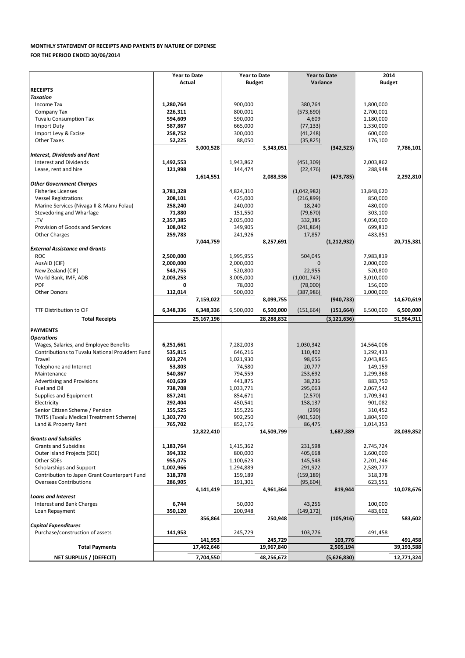#### **MONTHLY STATEMENT OF RECEIPTS AND PAYENTS BY NATURE OF EXPENSE**

**FOR THE PERIOD ENDED 30/06/2014**

|                                                 | <b>Year to Date</b> |            | <b>Year to Date</b> |            | <b>Year to Date</b> |               | 2014          |            |  |  |
|-------------------------------------------------|---------------------|------------|---------------------|------------|---------------------|---------------|---------------|------------|--|--|
|                                                 | Actual              |            | <b>Budget</b>       |            | Variance            |               | <b>Budget</b> |            |  |  |
| <b>RECEIPTS</b>                                 |                     |            |                     |            |                     |               |               |            |  |  |
| <b>Taxation</b>                                 |                     |            |                     |            |                     |               |               |            |  |  |
| Income Tax                                      | 1,280,764           |            | 900,000             |            | 380,764             |               | 1,800,000     |            |  |  |
|                                                 |                     |            |                     |            |                     |               |               |            |  |  |
| Company Tax                                     | 226,311             |            | 800,001             |            | (573, 690)          |               | 2,700,001     |            |  |  |
| <b>Tuvalu Consumption Tax</b>                   | 594,609             |            | 590,000             |            | 4,609               |               | 1,180,000     |            |  |  |
| Import Duty                                     | 587,867             |            | 665,000             |            | (77, 133)           |               | 1,330,000     |            |  |  |
| Import Levy & Excise                            | 258,752             |            | 300,000             |            | (41, 248)           |               | 600,000       |            |  |  |
| <b>Other Taxes</b>                              | 52,225              |            | 88,050              |            | (35, 825)           |               | 176,100       |            |  |  |
|                                                 |                     | 3,000,528  |                     | 3,343,051  |                     | (342, 523)    |               | 7,786,101  |  |  |
| <b>Interest, Dividends and Rent</b>             |                     |            |                     |            |                     |               |               |            |  |  |
|                                                 |                     |            |                     |            |                     |               |               |            |  |  |
| <b>Interest and Dividends</b>                   | 1,492,553           |            | 1,943,862           |            | (451, 309)          |               | 2,003,862     |            |  |  |
| Lease, rent and hire                            | 121,998             |            | 144,474             |            | (22, 476)           |               | 288,948       |            |  |  |
|                                                 |                     | 1,614,551  |                     | 2,088,336  |                     | (473, 785)    |               | 2,292,810  |  |  |
| <b>Other Government Charges</b>                 |                     |            |                     |            |                     |               |               |            |  |  |
| <b>Fisheries Licenses</b>                       | 3,781,328           |            | 4,824,310           |            | (1,042,982)         |               | 13,848,620    |            |  |  |
| <b>Vessel Registrations</b>                     | 208,101             |            | 425,000             |            | (216, 899)          |               | 850,000       |            |  |  |
|                                                 |                     |            |                     |            |                     |               |               |            |  |  |
| Marine Services (Nivaga II & Manu Folau)        | 258,240             |            | 240,000             |            | 18,240              |               | 480,000       |            |  |  |
| Stevedoring and Wharfage                        | 71,880              |            | 151,550             |            | (79, 670)           |               | 303,100       |            |  |  |
| .TV                                             | 2,357,385           |            | 2,025,000           |            | 332,385             |               | 4,050,000     |            |  |  |
| Provision of Goods and Services                 | 108,042             |            | 349,905             |            | (241, 864)          |               | 699,810       |            |  |  |
| <b>Other Charges</b>                            | 259,783             |            | 241,926             |            | 17,857              |               | 483,851       |            |  |  |
|                                                 |                     | 7,044,759  |                     |            |                     |               |               |            |  |  |
|                                                 |                     |            |                     | 8,257,691  |                     | (1,212,932)   |               | 20,715,381 |  |  |
| <b>External Assistance and Grants</b>           |                     |            |                     |            |                     |               |               |            |  |  |
| <b>ROC</b>                                      | 2,500,000           |            | 1,995,955           |            | 504,045             |               | 7,983,819     |            |  |  |
| AusAID (CIF)                                    | 2,000,000           |            | 2,000,000           |            | 0                   |               | 2,000,000     |            |  |  |
| New Zealand (CIF)                               | 543,755             |            | 520,800             |            | 22,955              |               | 520,800       |            |  |  |
| World Bank, IMF, ADB                            | 2,003,253           |            | 3,005,000           |            | (1,001,747)         |               | 3,010,000     |            |  |  |
| <b>PDF</b>                                      | 0                   |            |                     |            |                     |               | 156,000       |            |  |  |
|                                                 |                     |            | 78,000              |            | (78,000)            |               |               |            |  |  |
| <b>Other Donors</b>                             | 112,014             |            | 500,000             |            | (387, 986)          |               | 1,000,000     |            |  |  |
|                                                 |                     | 7,159,022  |                     | 8,099,755  |                     | (940, 733)    |               | 14,670,619 |  |  |
| TTF Distribution to CIF                         | 6,348,336           | 6,348,336  | 6,500,000           | 6,500,000  | (151, 664)          | (151, 664)    | 6,500,000     | 6,500,000  |  |  |
|                                                 |                     |            |                     |            |                     |               |               |            |  |  |
| <b>Total Receipts</b>                           |                     | 25,167,196 |                     | 28,288,832 |                     | (3, 121, 636) |               | 51,964,911 |  |  |
| <b>PAYMENTS</b>                                 |                     |            |                     |            |                     |               |               |            |  |  |
|                                                 |                     |            |                     |            |                     |               |               |            |  |  |
| <b>Operations</b>                               |                     |            |                     |            |                     |               |               |            |  |  |
| Wages, Salaries, and Employee Benefits          | 6,251,661           |            | 7,282,003           |            | 1,030,342           |               | 14,564,006    |            |  |  |
| Contributions to Tuvalu National Provident Fund | 535,815             |            | 646,216             |            | 110,402             |               | 1,292,433     |            |  |  |
| Travel                                          | 923,274             |            | 1,021,930           |            | 98,656              |               | 2,043,865     |            |  |  |
| Telephone and Internet                          | 53,803              |            | 74,580              |            | 20,777              |               | 149,159       |            |  |  |
|                                                 |                     |            |                     |            |                     |               |               |            |  |  |
| Maintenance                                     | 540,867             |            | 794,559             |            | 253,692             |               | 1,299,368     |            |  |  |
| <b>Advertising and Provisions</b>               | 403,639             |            | 441,875             |            | 38,236              |               | 883,750       |            |  |  |
| Fuel and Oil                                    | 738,708             |            | 1,033,771           |            | 295,063             |               | 2,067,542     |            |  |  |
| Supplies and Equipment                          | 857,241             |            | 854,671             |            | (2,570)             |               | 1,709,341     |            |  |  |
| Electricity                                     | 292,404             |            | 450,541             |            | 158,137             |               | 901,082       |            |  |  |
| Senior Citizen Scheme / Pension                 | 155,525             |            | 155,226             |            | (299)               |               | 310,452       |            |  |  |
|                                                 |                     |            |                     |            |                     |               |               |            |  |  |
| TMTS (Tuvalu Medical Treatment Scheme)          | 1,303,770           |            | 902,250             |            | (401, 520)          |               | 1,804,500     |            |  |  |
| Land & Property Rent                            | 765,702             |            | 852,176             |            | 86,475              |               | 1,014,353     |            |  |  |
|                                                 |                     | 12,822,410 |                     | 14,509,799 |                     | 1,687,389     |               | 28,039,852 |  |  |
| <b>Grants and Subsidies</b>                     |                     |            |                     |            |                     |               |               |            |  |  |
| <b>Grants and Subsidies</b>                     | 1,183,764           |            | 1,415,362           |            | 231,598             |               | 2,745,724     |            |  |  |
| Outer Island Projects (SDE)                     | 394,332             |            | 800,000             |            | 405,668             |               | 1,600,000     |            |  |  |
| Other SDEs                                      |                     |            |                     |            |                     |               |               |            |  |  |
|                                                 | 955,075             |            | 1,100,623           |            | 145,548             |               | 2,201,246     |            |  |  |
| Scholarships and Support                        | 1,002,966           |            | 1,294,889           |            | 291,922             |               | 2,589,777     |            |  |  |
| Contribution to Japan Grant Counterpart Fund    | 318,378             |            | 159,189             |            | (159, 189)          |               | 318,378       |            |  |  |
| <b>Overseas Contributions</b>                   | 286,905             |            | 191,301             |            | (95, 604)           |               | 623,551       |            |  |  |
|                                                 |                     | 4,141,419  |                     | 4,961,364  |                     | 819,944       |               | 10,078,676 |  |  |
| <b>Loans and Interest</b>                       |                     |            |                     |            |                     |               |               |            |  |  |
| Interest and Bank Charges                       | 6,744               |            | 50,000              |            | 43,256              |               | 100,000       |            |  |  |
|                                                 |                     |            |                     |            |                     |               |               |            |  |  |
| Loan Repayment                                  | 350,120             |            | 200,948             |            | (149, 172)          |               | 483,602       |            |  |  |
|                                                 |                     | 356,864    |                     | 250,948    |                     | (105, 916)    |               | 583,602    |  |  |
| <b>Capital Expenditures</b>                     |                     |            |                     |            |                     |               |               |            |  |  |
| Purchase/construction of assets                 | 141,953             |            | 245,729             |            | 103,776             |               | 491,458       |            |  |  |
|                                                 |                     | 141,953    |                     | 245,729    |                     | 103,776       |               | 491,458    |  |  |
|                                                 |                     |            |                     |            |                     |               |               |            |  |  |
| <b>Total Payments</b>                           |                     | 17,462,646 |                     | 19,967,840 |                     | 2,505,194     |               | 39,193,588 |  |  |
| <b>NET SURPLUS / (DEFECIT)</b>                  |                     | 7,704,550  |                     | 48,256,672 |                     | (5,626,830)   |               | 12,771,324 |  |  |